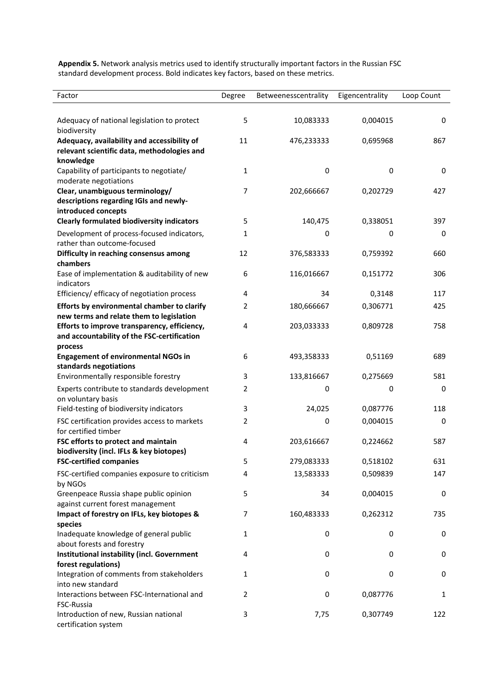**Appendix 5.** Network analysis metrics used to identify structurally important factors in the Russian FSC standard development process. Bold indicates key factors, based on these metrics.

| Factor                                                                          | Degree | Betweenesscentrality | Eigencentrality | Loop Count   |
|---------------------------------------------------------------------------------|--------|----------------------|-----------------|--------------|
|                                                                                 |        |                      |                 |              |
| Adequacy of national legislation to protect<br>biodiversity                     | 5      | 10,083333            | 0,004015        | 0            |
| Adequacy, availability and accessibility of                                     | 11     | 476,233333           | 0,695968        | 867          |
| relevant scientific data, methodologies and                                     |        |                      |                 |              |
| knowledge<br>Capability of participants to negotiate/                           | 1      | 0                    | $\mathbf 0$     | $\mathbf 0$  |
| moderate negotiations                                                           |        |                      |                 |              |
| Clear, unambiguous terminology/                                                 | 7      | 202,666667           | 0,202729        | 427          |
| descriptions regarding IGIs and newly-                                          |        |                      |                 |              |
| introduced concepts                                                             |        |                      |                 |              |
| <b>Clearly formulated biodiversity indicators</b>                               | 5      | 140,475              | 0,338051        | 397          |
| Development of process-focused indicators,<br>rather than outcome-focused       | 1      | 0                    | 0               | 0            |
| Difficulty in reaching consensus among                                          | 12     | 376,583333           | 0,759392        | 660          |
| chambers                                                                        |        |                      |                 |              |
| Ease of implementation & auditability of new<br>indicators                      | 6      | 116,016667           | 0,151772        | 306          |
| Efficiency/ efficacy of negotiation process                                     | 4      | 34                   | 0,3148          | 117          |
| Efforts by environmental chamber to clarify                                     | 2      | 180,666667           | 0,306771        | 425          |
| new terms and relate them to legislation                                        |        |                      |                 |              |
| Efforts to improve transparency, efficiency,                                    | 4      | 203,033333           | 0,809728        | 758          |
| and accountability of the FSC-certification                                     |        |                      |                 |              |
| process<br><b>Engagement of environmental NGOs in</b>                           | 6      | 493,358333           | 0,51169         | 689          |
| standards negotiations                                                          |        |                      |                 |              |
| Environmentally responsible forestry                                            | 3      | 133,816667           | 0,275669        | 581          |
| Experts contribute to standards development                                     | 2      | 0                    | 0               | 0            |
| on voluntary basis                                                              |        |                      |                 |              |
| Field-testing of biodiversity indicators                                        | 3      | 24,025               | 0,087776        | 118          |
| FSC certification provides access to markets<br>for certified timber            | 2      | 0                    | 0,004015        | 0            |
| FSC efforts to protect and maintain                                             | 4      | 203,616667           | 0,224662        | 587          |
| biodiversity (incl. IFLs & key biotopes)                                        |        |                      |                 |              |
| <b>FSC-certified companies</b>                                                  | 5      | 279,083333           | 0,518102        | 631          |
| FSC-certified companies exposure to criticism                                   | 4      | 13,583333            | 0,509839        | 147          |
| by NGOs                                                                         |        |                      |                 |              |
| Greenpeace Russia shape public opinion                                          | 5      | 34                   | 0,004015        | 0            |
| against current forest management<br>Impact of forestry on IFLs, key biotopes & | 7      | 160,483333           | 0,262312        | 735          |
| species                                                                         |        |                      |                 |              |
| Inadequate knowledge of general public                                          | 1      | 0                    | 0               | 0            |
| about forests and forestry                                                      |        |                      |                 |              |
| <b>Institutional instability (incl. Government</b>                              | 4      | 0                    | 0               | 0            |
| forest regulations)                                                             |        |                      |                 |              |
| Integration of comments from stakeholders                                       | 1      | 0                    | 0               | 0            |
| into new standard<br>Interactions between FSC-International and                 | 2      | 0                    | 0,087776        | $\mathbf{1}$ |
| FSC-Russia                                                                      |        |                      |                 |              |
| Introduction of new, Russian national                                           | 3      | 7,75                 | 0,307749        | 122          |
| certification system                                                            |        |                      |                 |              |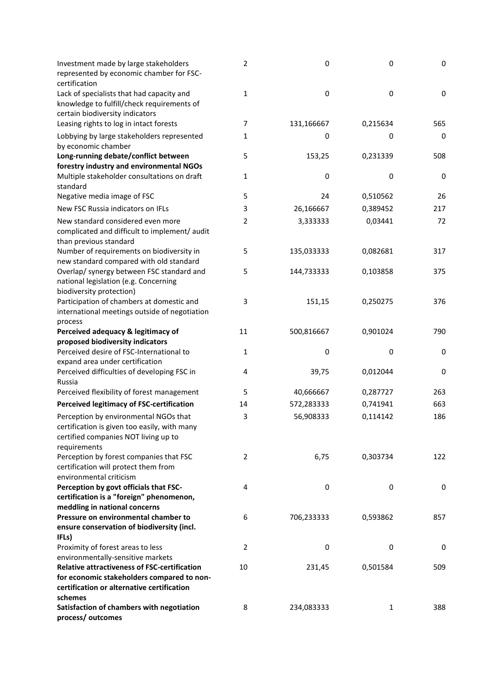| Investment made by large stakeholders<br>represented by economic chamber for FSC-<br>certification                                              | $\overline{2}$ | $\pmb{0}$  | 0        | $\pmb{0}$ |
|-------------------------------------------------------------------------------------------------------------------------------------------------|----------------|------------|----------|-----------|
| Lack of specialists that had capacity and<br>knowledge to fulfill/check requirements of<br>certain biodiversity indicators                      | 1              | 0          | 0        | 0         |
| Leasing rights to log in intact forests                                                                                                         | 7              | 131,166667 | 0,215634 | 565       |
| Lobbying by large stakeholders represented<br>by economic chamber                                                                               | 1              | 0          | 0        | 0         |
| Long-running debate/conflict between<br>forestry industry and environmental NGOs                                                                | 5              | 153,25     | 0,231339 | 508       |
| Multiple stakeholder consultations on draft<br>standard                                                                                         | 1              | 0          | 0        | 0         |
| Negative media image of FSC                                                                                                                     | 5              | 24         | 0,510562 | 26        |
| New FSC Russia indicators on IFLs                                                                                                               | 3              | 26,166667  | 0,389452 | 217       |
| New standard considered even more                                                                                                               | 2              | 3,333333   | 0,03441  | 72        |
| complicated and difficult to implement/ audit<br>than previous standard                                                                         |                |            |          |           |
| Number of requirements on biodiversity in<br>new standard compared with old standard                                                            | 5              | 135,033333 | 0,082681 | 317       |
| Overlap/ synergy between FSC standard and<br>national legislation (e.g. Concerning<br>biodiversity protection)                                  | 5              | 144,733333 | 0,103858 | 375       |
| Participation of chambers at domestic and<br>international meetings outside of negotiation<br>process                                           | 3              | 151,15     | 0,250275 | 376       |
| Perceived adequacy & legitimacy of                                                                                                              | 11             | 500,816667 | 0,901024 | 790       |
| proposed biodiversity indicators                                                                                                                |                |            |          |           |
| Perceived desire of FSC-International to                                                                                                        | 1              | 0          | 0        | 0         |
| expand area under certification                                                                                                                 |                |            |          |           |
| Perceived difficulties of developing FSC in<br>Russia                                                                                           | 4              | 39,75      | 0,012044 | 0         |
| Perceived flexibility of forest management                                                                                                      | 5              | 40,666667  | 0,287727 | 263       |
| <b>Perceived legitimacy of FSC-certification</b>                                                                                                | 14             | 572,283333 | 0,741941 | 663       |
| Perception by environmental NGOs that<br>certification is given too easily, with many<br>certified companies NOT living up to<br>requirements   | 3              | 56,908333  | 0,114142 | 186       |
| Perception by forest companies that FSC<br>certification will protect them from<br>environmental criticism                                      | 2              | 6,75       | 0,303734 | 122       |
| Perception by govt officials that FSC-<br>certification is a "foreign" phenomenon,                                                              | 4              | 0          | 0        | 0         |
| meddling in national concerns<br>Pressure on environmental chamber to<br>ensure conservation of biodiversity (incl.<br>IFLs)                    | 6              | 706,233333 | 0,593862 | 857       |
| Proximity of forest areas to less                                                                                                               | $\overline{2}$ | 0          | 0        | 0         |
| environmentally-sensitive markets                                                                                                               |                |            |          |           |
| <b>Relative attractiveness of FSC-certification</b><br>for economic stakeholders compared to non-<br>certification or alternative certification | 10             | 231,45     | 0,501584 | 509       |
| schemes                                                                                                                                         |                |            |          |           |
| Satisfaction of chambers with negotiation                                                                                                       | 8              | 234,083333 | 1        | 388       |